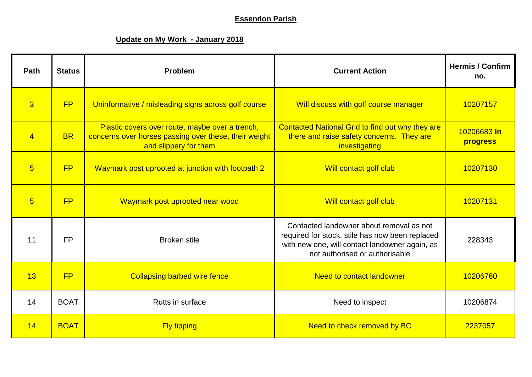## **Essendon Parish**

## **Update on My Work - January 2018**

| Path            | <b>Status</b> | <b>Problem</b>                                                                                                                    | <b>Current Action</b>                                                                                                                                                           | <b>Hermis / Confirm</b><br>no. |
|-----------------|---------------|-----------------------------------------------------------------------------------------------------------------------------------|---------------------------------------------------------------------------------------------------------------------------------------------------------------------------------|--------------------------------|
| $\overline{3}$  | FP            | Uninformative / misleading signs across golf course                                                                               | Will discuss with golf course manager                                                                                                                                           | 10207157                       |
| $\overline{4}$  | <b>BR</b>     | Plastic covers over route, maybe over a trench,<br>concerns over horses passing over these, their weight<br>and slippery for them | Contacted National Grid to find out why they are<br>there and raise safety concerns. They are<br>investigating                                                                  | 10206683 In<br>progress        |
| $5\overline{5}$ | <b>FP</b>     | Waymark post uprooted at junction with footpath 2                                                                                 | Will contact golf club                                                                                                                                                          | 10207130                       |
| $5\overline{5}$ | <b>FP</b>     | Waymark post uprooted near wood                                                                                                   | Will contact golf club                                                                                                                                                          | 10207131                       |
| 11              | <b>FP</b>     | <b>Broken stile</b>                                                                                                               | Contacted landowner about removal as not<br>required for stock, stile has now been replaced<br>with new one, will contact landowner again, as<br>not authorised or authorisable | 228343                         |
| 13              | <b>FP</b>     | <b>Collapsing barbed wire fence</b>                                                                                               | <b>Need to contact landowner</b>                                                                                                                                                | 10206760                       |
| 14              | <b>BOAT</b>   | Rutts in surface                                                                                                                  | Need to inspect                                                                                                                                                                 | 10206874                       |
| 14              | <b>BOAT</b>   | <b>Fly tipping</b>                                                                                                                | Need to check removed by BC                                                                                                                                                     | 2237057                        |